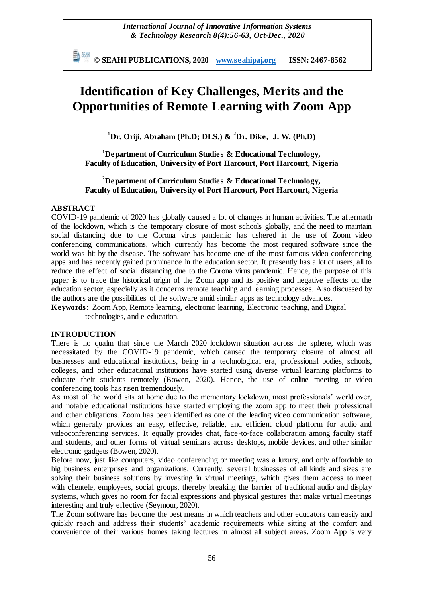動棚 **© SEAHI PUBLICATIONS, 2020 [www.seahipaj.org](http://www.seahipaj.org/) ISSN: 2467-8562**

# **Identification of Key Challenges, Merits and the Opportunities of Remote Learning with Zoom App**

**<sup>1</sup>Dr. Oriji, Abraham (Ph.D; DLS.) & <sup>2</sup>Dr. Dike, J. W. (Ph.D)**

**<sup>1</sup>Department of Curriculum Studies & Educational Technology, Faculty of Education, University of Port Harcourt, Port Harcourt, Nigeria**

## **<sup>2</sup>Department of Curriculum Studies & Educational Technology, Faculty of Education, University of Port Harcourt, Port Harcourt, Nigeria**

## **ABSTRACT**

COVID-19 pandemic of 2020 has globally caused a lot of changes in human activities. The aftermath of the lockdown, which is the temporary closure of most schools globally, and the need to maintain social distancing due to the Corona virus pandemic has ushered in the use of Zoom video conferencing communications, which currently has become the most required software since the world was hit by the disease. The software has become one of the most famous video conferencing apps and has recently gained prominence in the education sector. It presently has a lot of users, all to reduce the effect of social distancing due to the Corona virus pandemic. Hence, the purpose of this paper is to trace the historical origin of the Zoom app and its positive and negative effects on the education sector, especially as it concerns remote teaching and learning processes. Also discussed by the authors are the possibilities of the software amid similar apps as technology advances.

**Keywords**: Zoom App, Remote learning, electronic learning, Electronic teaching, and Digital technologies, and e-education.

#### **INTRODUCTION**

There is no qualm that since the March 2020 lockdown situation across the sphere, which was necessitated by the COVID-19 pandemic, which caused the temporary closure of almost all businesses and educational institutions, being in a technological era, professional bodies, schools, colleges, and other educational institutions have started using diverse virtual learning platforms to educate their students remotely (Bowen, 2020). Hence, the use of online meeting or video conferencing tools has risen tremendously.

As most of the world sits at home due to the momentary lockdown, most professionals' world over, and notable educational institutions have started employing the zoom app to meet their professional and other obligations. Zoom has been identified as one of the leading video communication software, which generally provides an easy, effective, reliable, and efficient cloud platform for audio and videoconferencing services. It equally provides chat, face-to-face collaboration among faculty staff and students, and other forms of virtual seminars across desktops, mobile devices, and other similar electronic gadgets (Bowen, 2020).

Before now, just like computers, video conferencing or meeting was a luxury, and only affordable to big business enterprises and organizations. Currently, several businesses of all kinds and sizes are solving their business solutions by investing in virtual meetings, which gives them access to meet with clientele, employees, social groups, thereby breaking the barrier of traditional audio and display systems, which gives no room for facial expressions and physical gestures that make virtual meetings interesting and truly effective (Seymour, 2020).

The Zoom software has become the best means in which teachers and other educators can easily and quickly reach and address their students' academic requirements while sitting at the comfort and convenience of their various homes taking lectures in almost all subject areas. Zoom App is very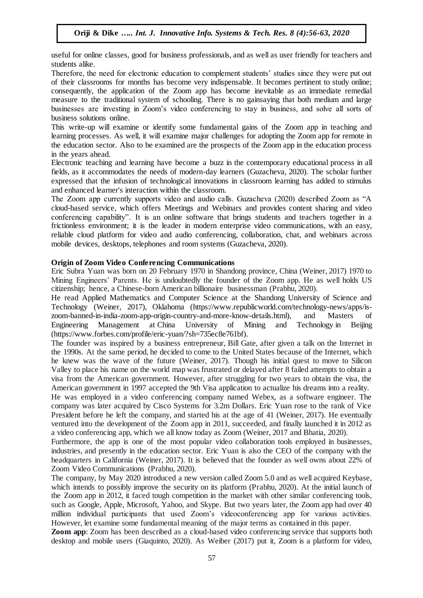useful for online classes, good for business professionals, and as well as user friendly for teachers and students alike.

Therefore, the need for electronic education to complement students' studies since they were put out of their classrooms for months has become very indispensable. It becomes pertinent to study online; consequently, the application of the Zoom app has become inevitable as an immediate remedial measure to the traditional system of schooling. There is no gainsaying that both medium and large businesses are investing in Zoom's video conferencing to stay in business, and solve all sorts of business solutions online.

This write-up will examine or identify some fundamental gains of the Zoom app in teaching and learning processes. As well, it will examine major challenges for adopting the Zoom app for remote in the education sector. Also to be examined are the prospects of the Zoom app in the education process in the years ahead.

Electronic teaching and learning have become a buzz in the contemporary educational process in all fields, as it accommodates the needs of modern-day learners (Guzacheva, 2020). The scholar further expressed that the infusion of technological innovations in classroom learning has added to stimulus and enhanced learner's interaction within the classroom.

The Zoom app currently supports video and audio calls. Guzacheva (2020) described Zoom as "A cloud-based service, which offers Meetings and Webinars and provides content sharing and video conferencing capability". It is an online software that brings students and teachers together in a frictionless environment; it is the leader in modern enterprise video communications, with an easy, reliable cloud platform for video and audio conferencing, collaboration, chat, and webinars across mobile devices, desktops, telephones and room systems (Guzacheva, 2020).

## **Origin of Zoom Video Conferencing Communications**

Eric Subra Yuan was born on 20 February 1970 in Shandong province, China (Weiner, 2017) 1970 to Mining Engineers' Parents. He is undoubtedly the founder of the Zoom app. He as well holds US citizenship; hence, a Chinese-born American billionaire businessman (Prabhu, 2020).

He read Applied Mathematics and Computer Science at the Shandong University of Science and Technology (Weiner, 2017), Oklahoma [\(https://www.republicworld.](https://www.republicworld/)com/technology-news/apps/iszoom-banned-in-india-zoom-app-origin-country-and-more-know-details.html), and Masters of Engineering Management at [China University of Mining and Technology](https://en.wikipedia.org/wiki/China_University_of_Mining_and_Technology) in Beijing (https://www.forbes.com/profile/eric-yuan/?sh=735ec8e761bf).

The founder was inspired by a business entrepreneur, Bill Gate, after given a talk on the Internet in the 1990s. At the same period, he decided to come to the United States because of the Internet, which he knew was the wave of the future (Weiner, 2017). Though his initial quest to move to Silicon Valley to place his name on the world map was frustrated or delayed after 8 failed attempts to obtain a visa from the American government. However, after struggling for two years to obtain the visa, the American government in 1997 accepted the 9th Visa application to actualize his dreams into a reality.

He was employed in a video conferencing company named Webex, as a software engineer. The company was later acquired by Cisco Systems for 3.2m Dollars. Eric Yuan rose to the rank of Vice President before he left the company, and started his at the age of 41 (Weiner, 2017). He eventually ventured into the development of the Zoom app in 2011, succeeded, and finally launched it in 2012 as a video conferencing app, which we all know today as Zoom (Weiner, 2017 and Bhatia, 2020).

Furthermore, the app is one of the most popular video collaboration tools employed in businesses, industries, and presently in the education sector. Eric Yuan is also the CEO of the company with the headquarters in California (Weiner, 2017). It is believed that the founder as well owns about 22% of Zoom Video Communications (Prabhu, 2020).

The company, by May 2020 introduced a new version called Zoom 5.0 and as well acquired Keybase, which intends to possibly improve the security on its platform (Prabhu, 2020). At the initial launch of the Zoom app in 2012, it faced tough competition in the market with other similar conferencing tools, such as Google, Apple, Microsoft, Yahoo, and Skype. But two years later, the Zoom app had over 40 million individual participants that used Zoom's videoconferencing app for various activities. However, let examine some fundamental meaning of the major terms as contained in this paper.

**Zoom app**: Zoom has been described as a cloud-based video conferencing service that supports both desktop and mobile users (Giaquinto, 2020). As Weiber (2017) put it, Zoom is a platform for video,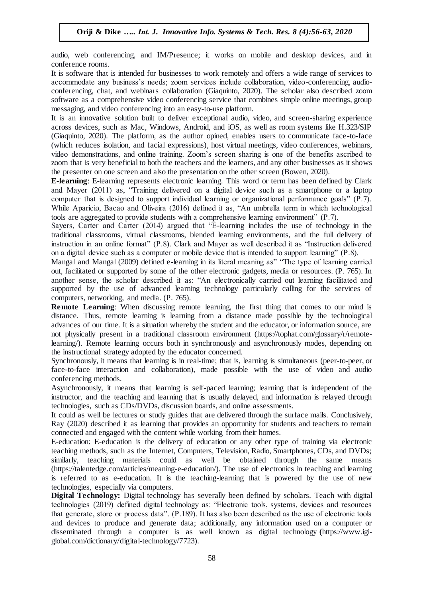audio, web conferencing, and IM/Presence; it works on mobile and desktop devices, and in conference rooms.

It is software that is intended for businesses to work remotely and offers a wide range of services to accommodate any business's needs; zoom services include collaboration, video-conferencing, audioconferencing, chat, and webinars collaboration (Giaquinto, 2020). The scholar also described zoom software as a comprehensive video conferencing service that combines simple online meetings, group messaging, and video conferencing into an easy-to-use platform.

It is an innovative solution built to deliver exceptional audio, video, and screen-sharing experience across devices, such as Mac, Windows, Android, and iOS, as well as room systems like H.323/SIP (Giaquinto, 2020). The platform, as the author opined, enables users to communicate face-to-face (which reduces isolation, and facial expressions), host virtual meetings, video conferences, webinars, video demonstrations, and online training. Zoom's screen sharing is one of the benefits ascribed to zoom that is very beneficial to both the teachers and the learners, and any other businesses as it shows the presenter on one screen and also the presentation on the other screen (Bowen, 2020).

**E-learning**: E-learning represents electronic learning. This word or term has been defined by Clark and Mayer (2011) as, "Training delivered on a digital device such as a smartphone or a laptop computer that is designed to support individual learning or organizational performance goals" (P.7). While Aparicio, Bacao and Oliveira (2016) defined it as, "An umbrella term in which technological tools are aggregated to provide students with a comprehensive learning environment" (P.7).

Sayers, Carter and Carter (2014) argued that "E-learning includes the use of technology in the traditional classrooms, virtual classrooms, blended learning environments, and the full delivery of instruction in an online format" (P.8). Clark and Mayer as well described it as "Instruction delivered on a digital device such as a computer or mobile device that is intended to support learning" (P.8).

Mangal and Mangal (2009) defined e-learning in its literal meaning as" "The type of learning carried out, facilitated or supported by some of the other electronic gadgets, media or resources. (P. 765). In another sense, the scholar described it as: "An electronically carried out learning facilitated and supported by the use of advanced learning technology particularly calling for the services of computers, networking, and media. (P. 765).

**Remote Learning**: When discussing remote learning, the first thing that comes to our mind is distance. Thus, remote learning is learning from a distance made possible by the technological advances of our time. It is a situation whereby the student and the educator, or information source, are not physically present in a traditional classroom environment (https://tophat.com/glossary/r/remotelearning/). Remote learning occurs both in synchronously and asynchronously modes, depending on the instructional strategy adopted by the educator concerned.

Synchronously, it means that learning is in real-time; that is, learning is simultaneous (peer-to-peer, or face-to-face interaction and collaboration), made possible with the use of video and audio conferencing methods.

Asynchronously, it means that learning is self-paced learning; learning that is independent of the instructor, and the teaching and learning that is usually delayed, and information is relayed through technologies, such as CDs/DVDs, discussion boards, and online assessments.

It could as well be lectures or study guides that are delivered through the surface mails. Conclusively, Ray (2020) described it as learning that provides an opportunity for students and teachers to remain connected and engaged with the content while working from their homes.

E-education: E-education is the delivery of education or any other type of training via electronic teaching methods, such as the Internet, Computers, Television, Radio, Smartphones, CDs, and DVDs; similarly, teaching materials could as well be obtained through the same means (https://talentedge.com/articles/meaning-e-education/). The use of electronics in teaching and learning is referred to as e-education. It is the teaching-learning that is powered by the use of new technologies, especially via computers.

**Digital Technology:** Digital technology has severally been defined by scholars. Teach with digital technologies (2019) defined digital technology as: "Electronic tools, systems, devices and resources that generate, store or process data". (P.189). It has also been described as the use of electronic tools and devices to produce and generate data; additionally, any information used on a computer or disseminated through a computer is as well known as digital technology **(**https://www.igiglobal.com/dictionary/digital-technology/7723).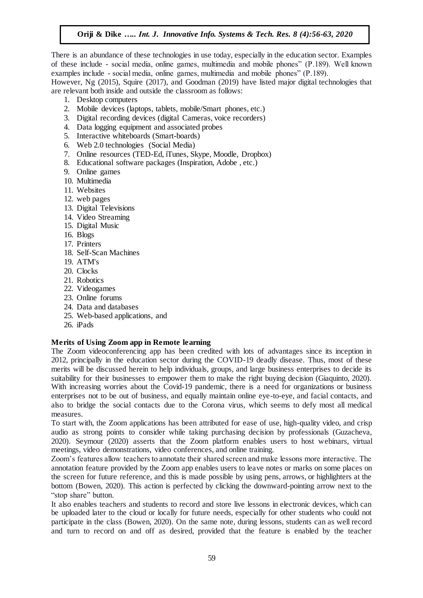There is an abundance of these technologies in use today, especially in the education sector. Examples of these include - social media, online games, multimedia and mobile phones" (P.189). Well known examples include - social media, online games, multimedia and mobile phones" (P.189).

However, Ng (2015), Squire (2017), and Goodman (2019) have listed major digital technologies that are relevant both inside and outside the classroom as follows:

- 1. Desktop computers
- 2. Mobile devices (laptops, tablets, mobile/Smart phones, etc.)
- 3. Digital recording devices (digital Cameras, voice recorders)
- 4. Data logging equipment and associated probes
- 5. Interactive whiteboards (Smart-boards)
- 6. Web 2.0 technologies (Social Media)
- 7. Online resources (TED-Ed, iTunes, Skype, Moodle, Dropbox)
- 8. Educational software packages (Inspiration, Adobe , etc.)
- 9. Online games
- 10. Multimedia
- 11. Websites
- 12. web pages
- 13. Digital Televisions
- 14. Video Streaming
- 15. Digital Music
- 16. Blogs
- 17. Printers
- 18. Self-Scan Machines
- 19. ATM's
- 20. Clocks
- 21. Robotics
- 22. Videogames
- 23. Online forums
- 24. Data and databases
- 25. Web-based applications, and
- 26. iPads

#### **Merits of Using Zoom app in Remote learning**

The Zoom videoconferencing app has been credited with lots of advantages since its inception in 2012, principally in the education sector during the COVID-19 deadly disease. Thus, most of these merits will be discussed herein to help individuals, groups, and large business enterprises to decide its suitability for their businesses to empower them to make the right buying decision (Giaquinto, 2020). With increasing worries about the Covid-19 pandemic, there is a need for organizations or business enterprises not to be out of business, and equally maintain online eye-to-eye, and facial contacts, and also to bridge the social contacts due to the Corona virus, which seems to defy most all medical measures.

To start with, the Zoom applications has been attributed for ease of use, high-quality video, and crisp audio as strong points to consider while taking purchasing decision by professionals (Guzacheva, 2020). Seymour (2020) asserts that the Zoom platform enables users to host webinars, virtual meetings, video demonstrations, video conferences, and online training.

Zoom's features allow teachers to annotate their shared screen and make lessons more interactive. The annotation feature provided by the Zoom app enables users to leave notes or marks on some places on the screen for future reference, and this is made possible by using pens, arrows, or highlighters at the bottom (Bowen, 2020). This action is perfected by clicking the downward-pointing arrow next to the "stop share" button.

It also enables teachers and students to record and store live lessons in electronic devices, which can be uploaded later to the cloud or locally for future needs, especially for other students who could not participate in the class (Bowen, 2020). On the same note, during lessons, students can as well record and turn to record on and off as desired, provided that the feature is enabled by the teacher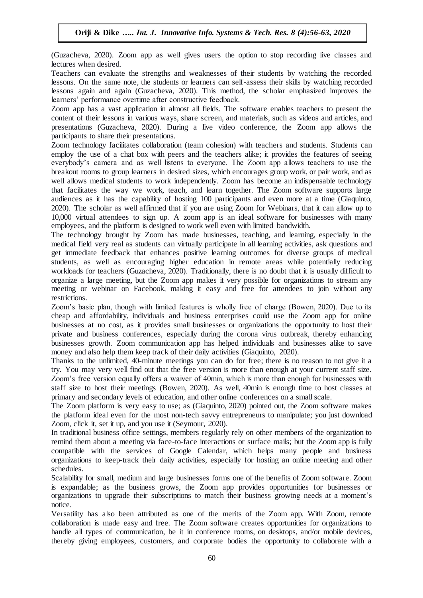(Guzacheva, 2020). Zoom app as well gives users the option to stop recording live classes and lectures when desired.

Teachers can evaluate the strengths and weaknesses of their students by watching the recorded lessons. On the same note, the students or learners can self-assess their skills by watching recorded lessons again and again (Guzacheva, 2020). This method, the scholar emphasized improves the learners' performance overtime after constructive feedback.

Zoom app has a vast application in almost all fields. The software enables teachers to present the content of their lessons in various ways, share screen, and materials, such as videos and articles, and presentations (Guzacheva, 2020). During a live video conference, the Zoom app allows the participants to share their presentations.

Zoom technology facilitates collaboration (team cohesion) with teachers and students. Students can employ the use of a chat box with peers and the teachers alike; it provides the features of seeing everybody's camera and as well listens to everyone. The Zoom app allows teachers to use the breakout rooms to group learners in desired sizes, which encourages group work, or pair work, and as well allows medical students to work independently. Zoom has become an indispensable technology that facilitates the way we work, teach, and learn together. The Zoom software supports large audiences as it has the capability of hosting 100 participants and even more at a time (Giaquinto, 2020). The scholar as well affirmed that if you are using Zoom for Webinars, that it can allow up to 10,000 virtual attendees to sign up. A zoom app is an ideal software for businesses with many employees, and the platform is designed to work well even with limited bandwidth.

The technology brought by Zoom has made businesses, teaching, and learning, especially in the medical field very real as students can virtually participate in all learning activities, ask questions and get immediate feedback that enhances positive learning outcomes for diverse groups of medical students, as well as encouraging higher education in remote areas while potentially reducing workloads for teachers (Guzacheva, 2020). Traditionally, there is no doubt that it is usually difficult to organize a large meeting, but the Zoom app makes it very possible for organizations to stream any meeting or webinar on Facebook, making it easy and free for attendees to join without any restrictions.

Zoom's basic plan, though with limited features is wholly free of charge (Bowen, 2020). Due to its cheap and affordability, individuals and business enterprises could use the Zoom app for online businesses at no cost, as it provides small businesses or organizations the opportunity to host their private and business conferences, especially during the corona virus outbreak, thereby enhancing businesses growth. Zoom communication app has helped individuals and businesses alike to save money and also help them keep track of their daily activities (Giaquinto, 2020).

Thanks to the unlimited, 40-minute meetings you can do for free; there is no reason to not give it a try. You may very well find out that the free version is more than enough at your current staff size. Zoom's free version equally offers a waiver of 40min, which is more than enough for businesses with staff size to host their meetings (Bowen, 2020). As well, 40min is enough time to host classes at primary and secondary levels of education, and other online conferences on a small scale.

The Zoom platform is very easy to use; as (Giaquinto, 2020) pointed out, the Zoom software makes the platform ideal even for the most non-tech savvy entrepreneurs to manipulate; you just download Zoom, click it, set it up, and you use it (Seymour, 2020).

In traditional business office settings, members regularly rely on other members of the organization to remind them about a meeting via face-to-face interactions or surface mails; but the Zoom app is fully compatible with the services of Google Calendar, which helps many people and business organizations to keep-track their daily activities, especially for hosting an online meeting and other schedules.

Scalability for small, medium and large businesses forms one of the benefits of Zoom software. Zoom is expandable; as the business grows, the Zoom app provides opportunities for businesses or organizations to upgrade their subscriptions to match their business growing needs at a moment's notice.

Versatility has also been attributed as one of the merits of the Zoom app. With Zoom, remote collaboration is made easy and free. The Zoom software creates opportunities for organizations to handle all types of communication, be it in conference rooms, on desktops, and/or mobile devices, thereby giving employees, customers, and corporate bodies the opportunity to collaborate with a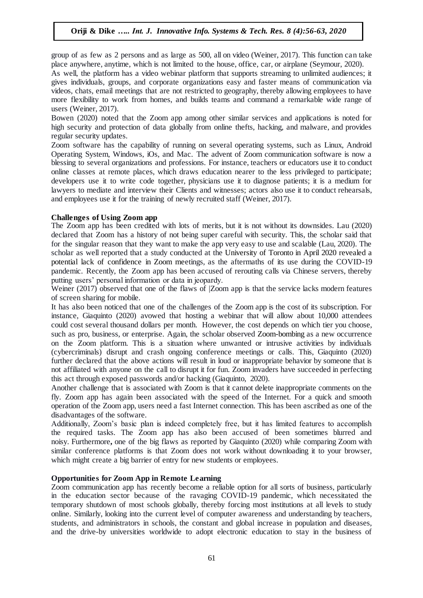group of as few as 2 persons and as large as 500, all on video (Weiner, 2017). This function can take place anywhere, anytime, which is not limited to the house, office, car, or airplane (Seymour, 2020).

As well, the platform has a video webinar platform that supports streaming to unlimited audiences; it gives individuals, groups, and corporate organizations easy and faster means of communication via videos, chats, email meetings that are not restricted to geography, thereby allowing employees to have more flexibility to work from homes, and builds teams and command a remarkable wide range of users (Weiner, 2017).

Bowen (2020) noted that the Zoom app among other similar services and applications is noted for high security and protection of data globally from online thefts, hacking, and malware, and provides regular security updates.

Zoom software has the capability of running on several operating systems, such as Linux, Android Operating System, Windows, iOs, and Mac. The advent of Zoom communication software is now a blessing to several organizations and professions. For instance, teachers or educators use it to conduct online classes at remote places, which draws education nearer to the less privileged to participate; developers use it to write code together, physicians use it to diagnose patients; it is a medium for lawyers to mediate and interview their Clients and witnesses; actors also use it to conduct rehearsals, and employees use it for the training of newly recruited staff (Weiner, 2017).

## **Challenges of Using Zoom app**

The Zoom app has been credited with lots of merits, but it is not without its downsides. Lau (2020) declared that Zoom has a history of not being super careful with security. This, the scholar said that for the singular reason that they want to make the app very easy to use and scalable (Lau, 2020). The scholar as well reported that a study conducted at the [University of Toronto](https://www.timeshighereducation.com/world-university-rankings/university-toronto) in April 2020 revealed a potential lack of confidence in Zoom meetings, as the aftermaths of its use during the COVID-19 pandemic. Recently, the Zoom app has been accused of rerouting calls via Chinese servers, thereby putting users' personal information or data in jeopardy.

Weiner (2017) observed that one of the flaws of  $|Z$ oom app is that the service lacks modern features of screen sharing for mobile.

It has also been noticed that one of the challenges of the Zoom app is the cost of its subscription. For instance, Giaquinto (2020) avowed that hosting a webinar that will allow about 10,000 attendees could cost several thousand dollars per month. However, the cost depends on which tier you choose, such as pro, business, or enterprise. Again, the scholar observed [Zoom-bombing](https://en.wikipedia.org/wiki/Zoombombing) as a new occurrence on the Zoom platform. This is a situation where unwanted or intrusive activities by individuals (cybercriminals) disrupt and crash ongoing conference meetings or calls. This, Giaquinto (2020) further declared that the above actions will result in loud or inappropriate behavior by someone that is not affiliated with anyone on the call to disrupt it for fun. Zoom invaders have succeeded in perfecting this act through exposed passwords and/or hacking (Giaquinto, 2020).

Another challenge that is associated with Zoom is that it cannot delete inappropriate comments on the fly. Zoom app has again been associated with the speed of the Internet. For a quick and smooth operation of the Zoom app, users need a fast Internet connection. This has been ascribed as one of the disadvantages of the software.

Additionally, Zoom's basic plan is indeed completely free, but it has limited features to accomplish the required tasks. The Zoom app has also been accused of been sometimes blurred and noisy. Furthermore**,** one of the big flaws as reported by Giaquinto (2020) while comparing Zoom with similar conference platforms is that Zoom does not work without downloading it to your browser, which might create a big barrier of entry for new students or employees.

### **Opportunities for Zoom App in Remote Learning**

Zoom communication app has recently become a reliable option for all sorts of business, particularly in the education sector because of the ravaging COVID-19 pandemic, which necessitated the temporary shutdown of most schools globally, thereby forcing most institutions at all levels to study online. Similarly, looking into the current level of computer awareness and understanding by teachers, students, and administrators in schools, the constant and global increase in population and diseases, and the drive-by universities worldwide to adopt electronic education to stay in the business of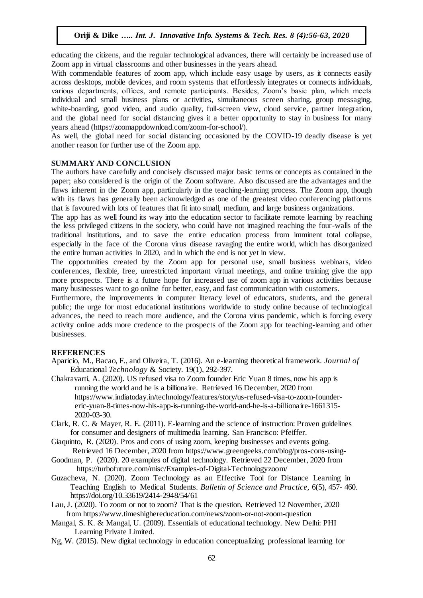educating the citizens, and the regular technological advances, there will certainly be increased use of Zoom app in virtual classrooms and other businesses in the years ahead.

With commendable features of zoom app, which include easy usage by users, as it connects easily across desktops, mobile devices, and room systems that effortlessly integrates or connects individuals, various departments, offices, and remote participants. Besides, Zoom's basic plan, which meets individual and small business plans or activities, simultaneous screen sharing, group messaging, white-boarding, good video, and audio quality, full-screen view, cloud service, partner integration, and the global need for social distancing gives it a better opportunity to stay in business for many years ahead (https://zoomappdownload.com/zoom-for-school/).

As well, the global need for social distancing occasioned by the COVID-19 deadly disease is yet another reason for further use of the Zoom app.

#### **SUMMARY AND CONCLUSION**

The authors have carefully and concisely discussed major basic terms or concepts as contained in the paper; also considered is the origin of the Zoom software. Also discussed are the advantages and the flaws inherent in the Zoom app, particularly in the teaching-learning process. The Zoom app, though with its flaws has generally been acknowledged as one of the greatest video conferencing platforms that is favoured with lots of features that fit into small, medium, and large business organizations.

The app has as well found its way into the education sector to facilitate remote learning by reaching the less privileged citizens in the society, who could have not imagined reaching the four-walls of the traditional institutions, and to save the entire education process from imminent total collapse, especially in the face of the Corona virus disease ravaging the entire world, which has disorganized the entire human activities in 2020, and in which the end is not yet in view.

The opportunities created by the Zoom app for personal use, small business webinars, video conferences, flexible, free, unrestricted important virtual meetings, and online training give the app more prospects. There is a future hope for increased use of zoom app in various activities because many businesses want to go online for better, easy, and fast communication with customers.

Furthermore, the improvements in computer literacy level of educators, students, and the general public; the urge for most educational institutions worldwide to study online because of technological advances, the need to reach more audience, and the Corona virus pandemic, which is forcing every activity online adds more credence to the prospects of the Zoom app for teaching-learning and other businesses.

#### **REFERENCES**

- Aparicio, M., Bacao, F., and Oliveira, T. (2016). An e-learning theoretical framework. *Journal of* Educational *Technology* & Society. 19(1), 292-397.
- [Chakravarti,](https://www.indiatoday.in/author/ankita-chakravarti) A. (2020). US refused visa to Zoom founder Eric Yuan 8 times, now his app is running the world and he is a billionaire. Retrieved 16 December, 2020 from [https://www.indiatoday.in/technology/features/story/us-refused-visa-to-zoom-founder](https://www.indiatoday.in/technology/features/story/us-refused-visa-to-zoom-founder-) eric-yuan-8-times-now-his-app-is-running-the-world-and-he-is-a-billionaire-1661315- 2020-03-30.
- Clark, R. C. & Mayer, R. E. (2011). E-learning and the science of instruction: Proven guidelines for consumer and designers of multimedia learning. San Francisco: Pfeiffer.
- Giaquinto, R. (2020). Pros and cons of using zoom, keeping businesses and events going. Retrieved 16 December, 2020 fro[m https://www.greengeeks.com/blog/pros-cons-using-](https://www.greengeeks.com/blog/pros-cons-using-)
- [Goodman,](https://turbofuture.com/@superbrainwave) P. (2020). 20 examples of digital technology. Retrieved 22 December, 2020 from https://turbofuture.com/misc/Examples-of-Digital-Technologyzoom/
- Guzacheva, N. (2020). Zoom Technology as an Effective Tool for Distance Learning in Teaching English to Medical Students. *Bulletin of Science and Practice,* 6(5), 457- 460. https://doi.org/10.33619/2414-2948/54/61
- Lau, J. (2020). To zoom or not to zoom? That is the question. Retrieved 12 November, 2020 from https://www.timeshighereducation.com/news/zoom-or-not-zoom-question
- Mangal, S. K. & Mangal, U. (2009). Essentials of educational technology. New Delhi: PHI Learning Private Limited.
- Ng, W. (2015). New digital technology in education conceptualizing professional learning for